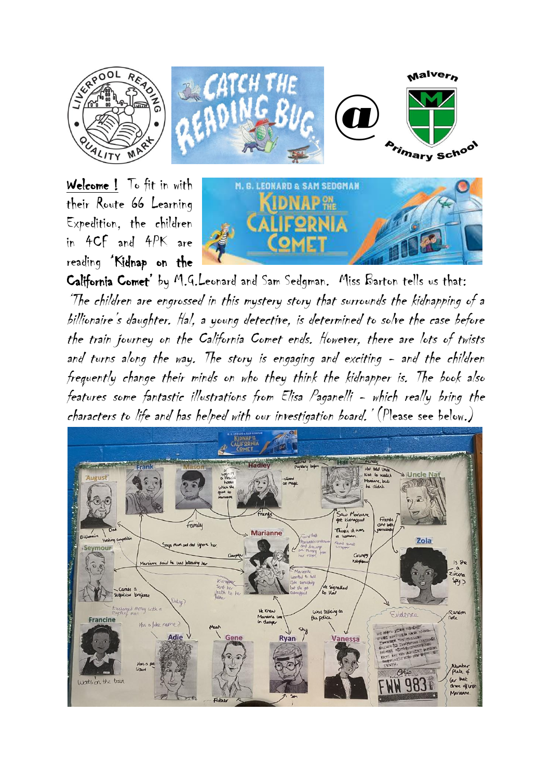

Welcome ! To fit in with their Route 66 Learning Expedition, the children in 4CF and 4PK are reading 'Kidnap on the



California Comet' by M.G.Leonard and Sam Sedgman. Miss Barton tells us that: 'The children are engrossed in this mystery story that surrounds the kidnapping of a billionaire's daughter. Hal, a young detective, is determined to solve the case before the train journey on the California Comet ends. However, there are lots of twists and turns along the way. The story is engaging and exciting - and the children frequently change their minds on who they think the kidnapper is. The book also features some fantastic illustrations from Elisa Paganelli - which really bring the characters to life and has helped with our investigation board.' (Please see below.)